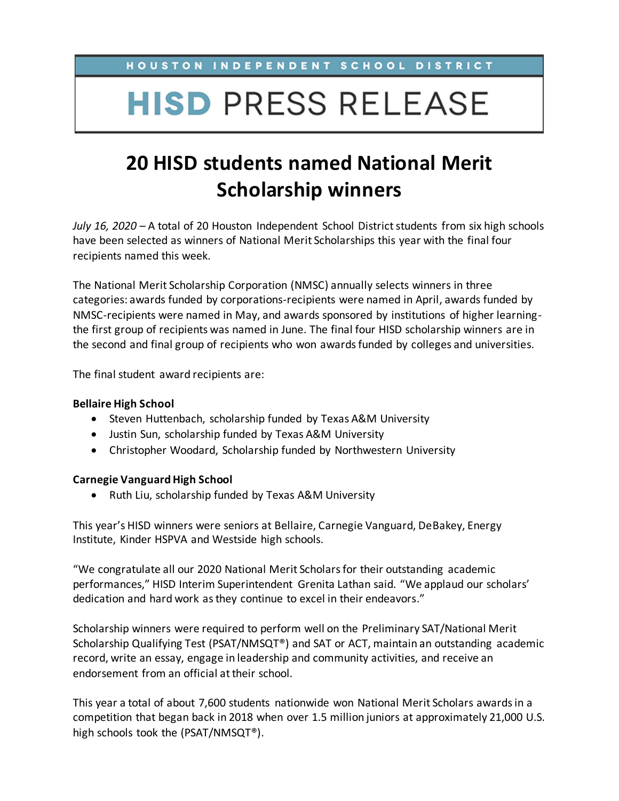HOUSTON INDEPENDENT SCHOOL DISTRICT

# **HISD PRESS RELEASE**

## **20 HISD students named National Merit Scholarship winners**

*July 16, 2020* – A total of 20 Houston Independent School District students from six high schools have been selected as winners of National Merit Scholarships this year with the final four recipients named this week.

The National Merit Scholarship Corporation (NMSC) annually selects winners in three categories: awards funded by corporations-recipients were named in April, awards funded by NMSC-recipients were named in May, and awards sponsored by institutions of higher learningthe first group of recipients was named in June. The final four HISD scholarship winners are in the second and final group of recipients who won awards funded by colleges and universities.

The final student award recipients are:

### **Bellaire High School**

- Steven Huttenbach, scholarship funded by Texas A&M University
- Justin Sun, scholarship funded by Texas A&M University
- Christopher Woodard, Scholarship funded by Northwestern University

#### **Carnegie Vanguard High School**

• Ruth Liu, scholarship funded by Texas A&M University

This year's HISD winners were seniors at Bellaire, Carnegie Vanguard, DeBakey, Energy Institute, Kinder HSPVA and Westside high schools.

"We congratulate all our 2020 National Merit Scholars for their outstanding academic performances," HISD Interim Superintendent Grenita Lathan said. "We applaud our scholars' dedication and hard work as they continue to excel in their endeavors."

Scholarship winners were required to perform well on the Preliminary SAT/National Merit Scholarship Qualifying Test (PSAT/NMSQT®) and SAT or ACT, maintain an outstanding academic record, write an essay, engage in leadership and community activities, and receive an endorsement from an official at their school.

This year a total of about 7,600 students nationwide won National Merit Scholars awards in a competition that began back in 2018 when over 1.5 million juniors at approximately 21,000 U.S. high schools took the (PSAT/NMSQT®).